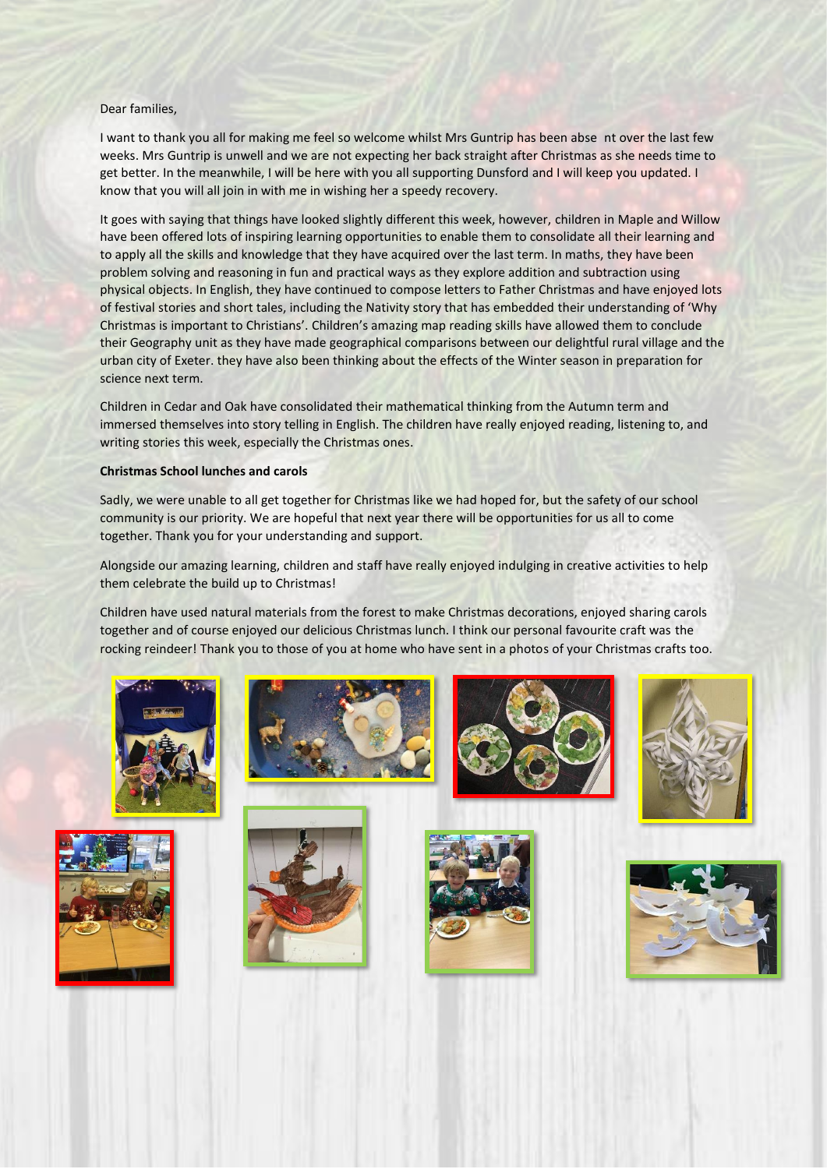## Dear families,

I want to thank you all for making me feel so welcome whilst Mrs Guntrip has been abse nt over the last few weeks. Mrs Guntrip is unwell and we are not expecting her back straight after Christmas as she needs time to get better. In the meanwhile, I will be here with you all supporting Dunsford and I will keep you updated. I know that you will all join in with me in wishing her a speedy recovery.

It goes with saying that things have looked slightly different this week, however, children in Maple and Willow have been offered lots of inspiring learning opportunities to enable them to consolidate all their learning and to apply all the skills and knowledge that they have acquired over the last term. In maths, they have been problem solving and reasoning in fun and practical ways as they explore addition and subtraction using physical objects. In English, they have continued to compose letters to Father Christmas and have enjoyed lots of festival stories and short tales, including the Nativity story that has embedded their understanding of 'Why Christmas is important to Christians'. Children's amazing map reading skills have allowed them to conclude their Geography unit as they have made geographical comparisons between our delightful rural village and the urban city of Exeter. they have also been thinking about the effects of the Winter season in preparation for science next term.

Children in Cedar and Oak have consolidated their mathematical thinking from the Autumn term and immersed themselves into story telling in English. The children have really enjoyed reading, listening to, and writing stories this week, especially the Christmas ones.

#### **Christmas School lunches and carols**

Sadly, we were unable to all get together for Christmas like we had hoped for, but the safety of our school community is our priority. We are hopeful that next year there will be opportunities for us all to come together. Thank you for your understanding and support.

Alongside our amazing learning, children and staff have really enjoyed indulging in creative activities to help them celebrate the build up to Christmas!

Children have used natural materials from the forest to make Christmas decorations, enjoyed sharing carols together and of course enjoyed our delicious Christmas lunch. I think our personal favourite craft was the rocking reindeer! Thank you to those of you at home who have sent in a photos of your Christmas crafts too.